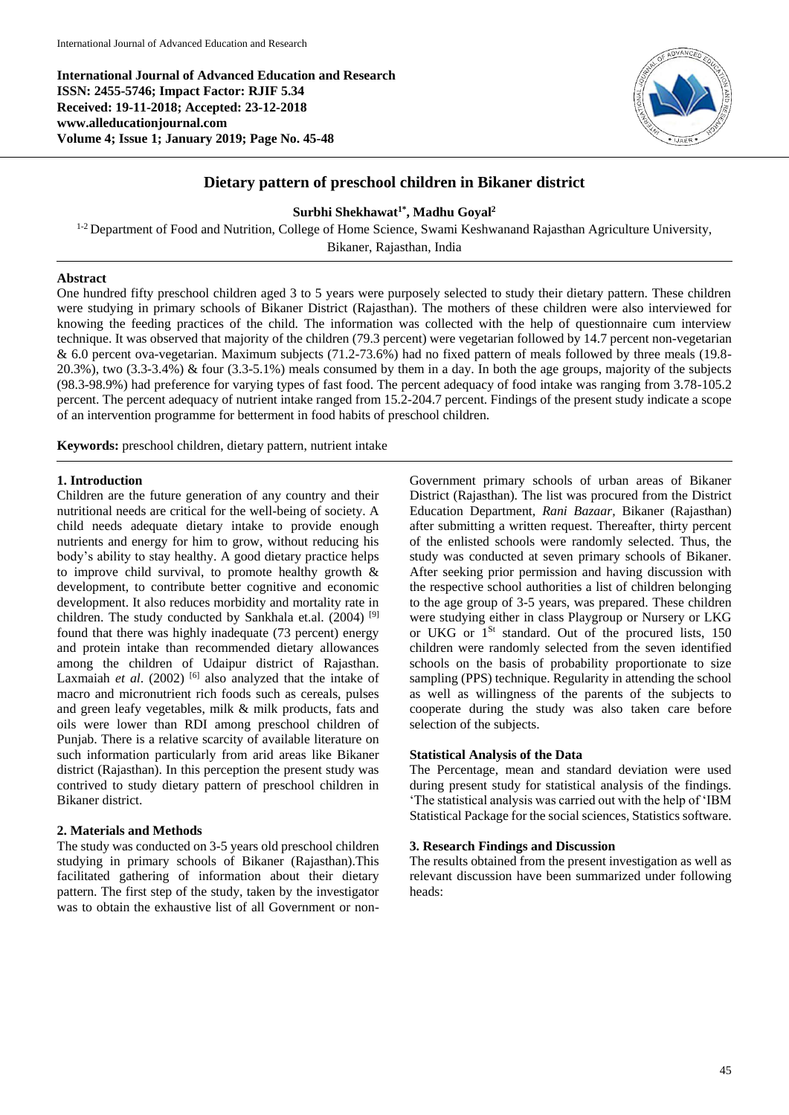**International Journal of Advanced Education and Research ISSN: 2455-5746; Impact Factor: RJIF 5.34 Received: 19-11-2018; Accepted: 23-12-2018 www.alleducationjournal.com Volume 4; Issue 1; January 2019; Page No. 45-48**



# **Dietary pattern of preschool children in Bikaner district**

## **Surbhi Shekhawat1\* , Madhu Goyal<sup>2</sup>**

<sup>1-2</sup> Department of Food and Nutrition, College of Home Science, Swami Keshwanand Rajasthan Agriculture University, Bikaner, Rajasthan, India

### **Abstract**

One hundred fifty preschool children aged 3 to 5 years were purposely selected to study their dietary pattern. These children were studying in primary schools of Bikaner District (Rajasthan). The mothers of these children were also interviewed for knowing the feeding practices of the child. The information was collected with the help of questionnaire cum interview technique. It was observed that majority of the children (79.3 percent) were vegetarian followed by 14.7 percent non-vegetarian & 6.0 percent ova-vegetarian. Maximum subjects (71.2-73.6%) had no fixed pattern of meals followed by three meals (19.8- 20.3%), two (3.3-3.4%) & four (3.3-5.1%) meals consumed by them in a day. In both the age groups, majority of the subjects (98.3-98.9%) had preference for varying types of fast food. The percent adequacy of food intake was ranging from 3.78-105.2 percent. The percent adequacy of nutrient intake ranged from 15.2-204.7 percent. Findings of the present study indicate a scope of an intervention programme for betterment in food habits of preschool children.

**Keywords:** preschool children, dietary pattern, nutrient intake

## **1. Introduction**

Children are the future generation of any country and their nutritional needs are critical for the well-being of society. A child needs adequate dietary intake to provide enough nutrients and energy for him to grow, without reducing his body's ability to stay healthy. A good dietary practice helps to improve child survival, to promote healthy growth & development, to contribute better cognitive and economic development. It also reduces morbidity and mortality rate in children. The study conducted by Sankhala et.al.  $(2004)$ <sup>[9]</sup> found that there was highly inadequate (73 percent) energy and protein intake than recommended dietary allowances among the children of Udaipur district of Rajasthan. Laxmaiah *et al.* (2002) <sup>[6]</sup> also analyzed that the intake of macro and micronutrient rich foods such as cereals, pulses and green leafy vegetables, milk & milk products, fats and oils were lower than RDI among preschool children of Punjab. There is a relative scarcity of available literature on such information particularly from arid areas like Bikaner district (Rajasthan). In this perception the present study was contrived to study dietary pattern of preschool children in Bikaner district.

## **2. Materials and Methods**

The study was conducted on 3-5 years old preschool children studying in primary schools of Bikaner (Rajasthan).This facilitated gathering of information about their dietary pattern. The first step of the study, taken by the investigator was to obtain the exhaustive list of all Government or non-

Government primary schools of urban areas of Bikaner District (Rajasthan). The list was procured from the District Education Department*, Rani Bazaar,* Bikaner (Rajasthan) after submitting a written request. Thereafter, thirty percent of the enlisted schools were randomly selected. Thus, the study was conducted at seven primary schools of Bikaner. After seeking prior permission and having discussion with the respective school authorities a list of children belonging to the age group of 3-5 years, was prepared. These children were studying either in class Playgroup or Nursery or LKG or UKG or  $1^{St}$  standard. Out of the procured lists, 150 children were randomly selected from the seven identified schools on the basis of probability proportionate to size sampling (PPS) technique. Regularity in attending the school as well as willingness of the parents of the subjects to cooperate during the study was also taken care before selection of the subjects.

## **Statistical Analysis of the Data**

The Percentage, mean and standard deviation were used during present study for statistical analysis of the findings. 'The statistical analysis was carried out with the help of 'IBM Statistical Package for the social sciences, Statistics software.

## **3. Research Findings and Discussion**

The results obtained from the present investigation as well as relevant discussion have been summarized under following heads: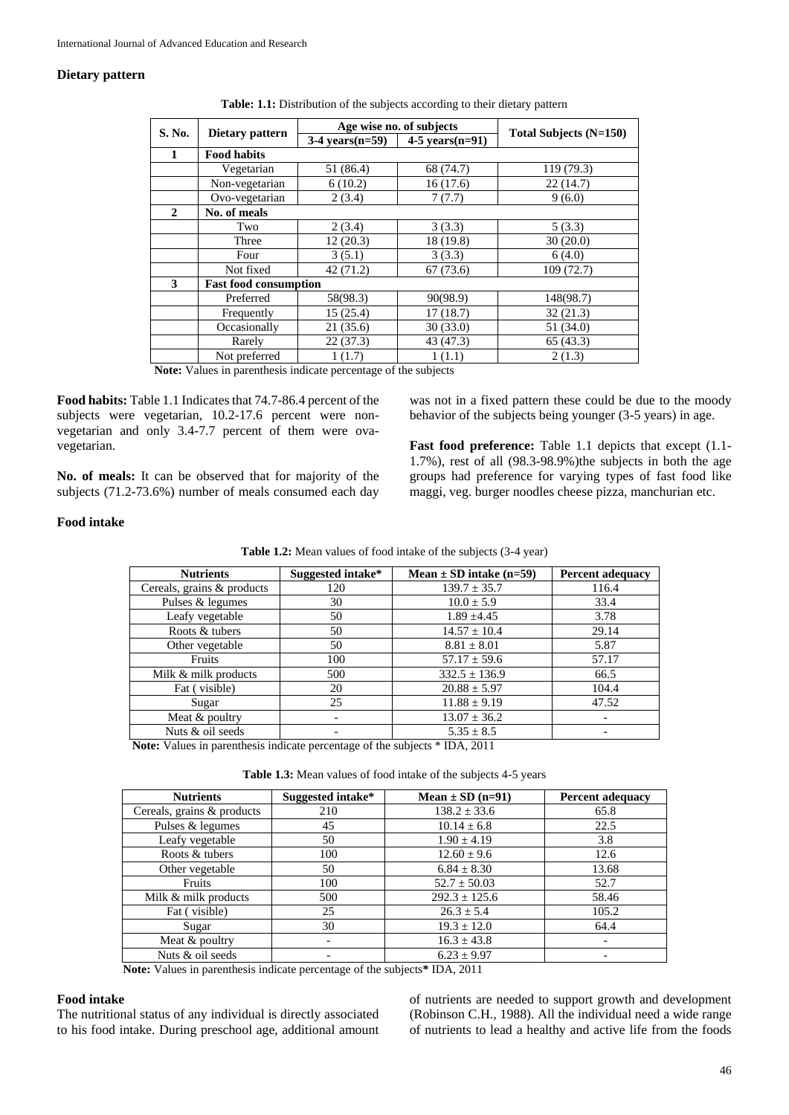### **Dietary pattern**

|              |                              |                   | Age wise no. of subjects | Total Subjects (N=150) |  |
|--------------|------------------------------|-------------------|--------------------------|------------------------|--|
| S. No.       | Dietary pattern              | $3-4$ vears(n=59) | $4-5$ years $(n=91)$     |                        |  |
| 1            | <b>Food habits</b>           |                   |                          |                        |  |
|              | Vegetarian                   | 51 (86.4)         | 68 (74.7)                | 119 (79.3)             |  |
|              | Non-vegetarian               | 6(10.2)           | 16(17.6)                 | 22(14.7)               |  |
|              | Ovo-vegetarian               | 2(3.4)            | 7(7.7)                   | 9(6.0)                 |  |
| $\mathbf{2}$ | No. of meals                 |                   |                          |                        |  |
|              | Two                          | 2(3.4)            | 3(3.3)                   | 5(3.3)                 |  |
|              | Three                        | 12(20.3)          | 18 (19.8)                | 30(20.0)               |  |
|              | Four                         | 3(5.1)            | 3(3.3)                   | 6(4.0)                 |  |
|              | Not fixed                    | 42 (71.2)         | 67(73.6)                 | 109(72.7)              |  |
| 3            | <b>Fast food consumption</b> |                   |                          |                        |  |
|              | Preferred                    | 58(98.3)          | 90(98.9)                 | 148(98.7)              |  |
|              | Frequently                   | 15(25.4)          | 17(18.7)                 | 32(21.3)               |  |
|              | Occasionally                 | 21(35.6)          | 30(33.0)                 | 51 (34.0)              |  |
|              | Rarely                       | 22(37.3)          | 43 (47.3)                | 65(43.3)               |  |
|              | Not preferred                | 1(1.7)            | 1(1.1)                   | 2(1.3)                 |  |

**Table: 1.1:** Distribution of the subjects according to their dietary pattern

**Note:** Values in parenthesis indicate percentage of the subjects

**Food habits:** Table 1.1 Indicates that 74.7-86.4 percent of the subjects were vegetarian, 10.2-17.6 percent were nonvegetarian and only 3.4-7.7 percent of them were ovavegetarian.

**No. of meals:** It can be observed that for majority of the subjects (71.2-73.6%) number of meals consumed each day

was not in a fixed pattern these could be due to the moody behavior of the subjects being younger (3-5 years) in age.

**Fast food preference:** Table 1.1 depicts that except (1.1- 1.7%), rest of all (98.3-98.9%)the subjects in both the age groups had preference for varying types of fast food like maggi, veg. burger noodles cheese pizza, manchurian etc.

### **Food intake**

| Table 1.2: Mean values of food intake of the subjects (3-4 year) |
|------------------------------------------------------------------|
|------------------------------------------------------------------|

| Suggested intake* | Mean $\pm$ SD intake (n=59) | <b>Percent adequacy</b> |
|-------------------|-----------------------------|-------------------------|
| 120               | $139.7 \pm 35.7$            | 116.4                   |
| 30                | $10.0 \pm 5.9$              | 33.4                    |
| 50                | $1.89 \pm 4.45$             | 3.78                    |
| 50                | $14.57 \pm 10.4$            | 29.14                   |
| 50                | $8.81 \pm 8.01$             | 5.87                    |
| 100               | $57.17 \pm 59.6$            | 57.17                   |
| 500               | $332.5 \pm 136.9$           | 66.5                    |
| 20                | $20.88 \pm 5.97$            | 104.4                   |
| 25                | $11.88 \pm 9.19$            | 47.52                   |
|                   | $13.07 \pm 36.2$            |                         |
|                   | $5.35 \pm 8.5$              |                         |
|                   |                             |                         |

**Note:** Values in parenthesis indicate percentage of the subjects \* IDA, 2011

**Table 1.3:** Mean values of food intake of the subjects 4-5 years

| <b>Nutrients</b>           | Suggested intake* | Mean $\pm$ SD (n=91) | Percent adequacy         |
|----------------------------|-------------------|----------------------|--------------------------|
| Cereals, grains & products | 210               | $138.2 \pm 33.6$     | 65.8                     |
| Pulses & legumes           | 45                | $10.14 \pm 6.8$      | 22.5                     |
| Leafy vegetable            | 50                | $1.90 \pm 4.19$      | 3.8                      |
| Roots & tubers             | 100               | $12.60 \pm 9.6$      | 12.6                     |
| Other vegetable            | 50                | $6.84 \pm 8.30$      | 13.68                    |
| Fruits                     | 100               | $52.7 \pm 50.03$     | 52.7                     |
| Milk & milk products       | 500               | $292.3 \pm 125.6$    | 58.46                    |
| Fat (visible)              | 25                | $26.3 \pm 5.4$       | 105.2                    |
| Sugar                      | 30                | $19.3 \pm 12.0$      | 64.4                     |
| Meat & poultry             |                   | $16.3 \pm 43.8$      | $\overline{\phantom{0}}$ |
| Nuts & oil seeds           |                   | $6.23 \pm 9.97$      |                          |

**Note:** Values in parenthesis indicate percentage of the subjects**\*** IDA, 2011

#### **Food intake**

The nutritional status of any individual is directly associated to his food intake. During preschool age, additional amount of nutrients are needed to support growth and development (Robinson C.H., 1988). All the individual need a wide range of nutrients to lead a healthy and active life from the foods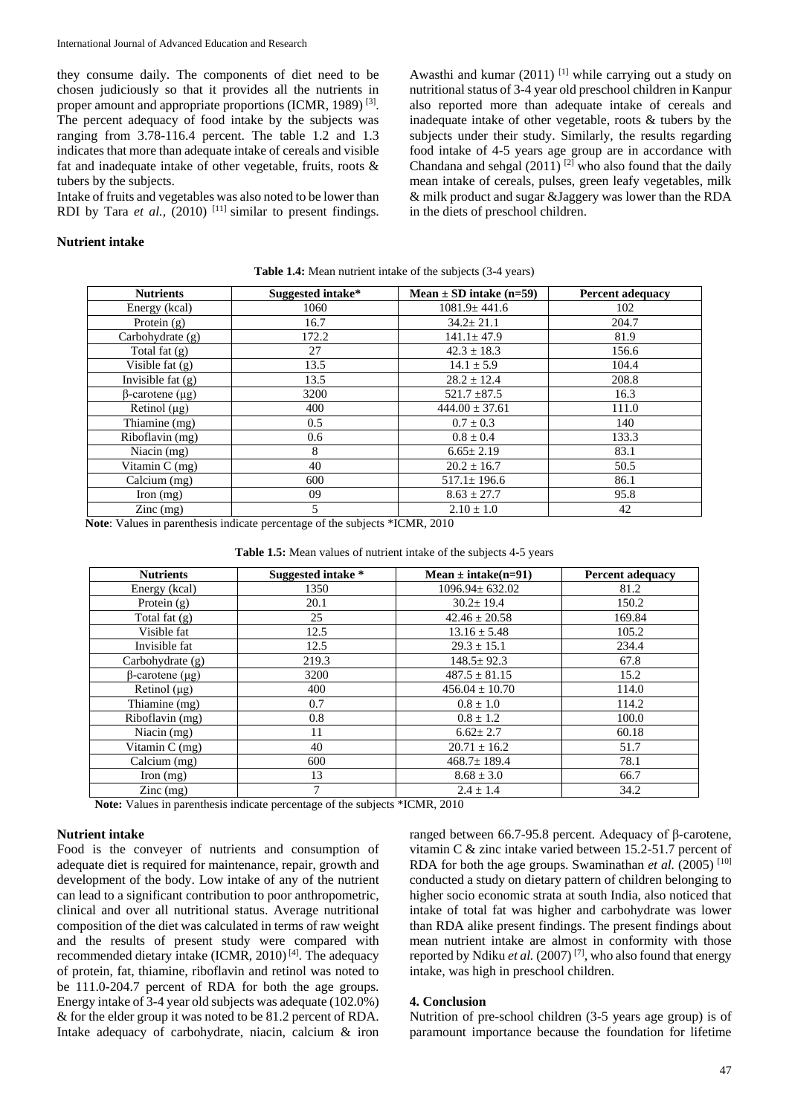they consume daily. The components of diet need to be chosen judiciously so that it provides all the nutrients in proper amount and appropriate proportions (ICMR, 1989)<sup>[3]</sup>. The percent adequacy of food intake by the subjects was ranging from 3.78-116.4 percent. The table 1.2 and 1.3 indicates that more than adequate intake of cereals and visible fat and inadequate intake of other vegetable, fruits, roots & tubers by the subjects.

Intake of fruits and vegetables was also noted to be lower than RDI by Tara *et al.*,  $(2010)$ <sup>[11]</sup> similar to present findings.

Awasthi and kumar (2011) <sup>[1]</sup> while carrying out a study on nutritional status of 3-4 year old preschool children in Kanpur also reported more than adequate intake of cereals and inadequate intake of other vegetable, roots & tubers by the subjects under their study. Similarly, the results regarding food intake of 4-5 years age group are in accordance with Chandana and sehgal  $(2011)$ <sup>[2]</sup> who also found that the daily mean intake of cereals, pulses, green leafy vegetables, milk & milk product and sugar &Jaggery was lower than the RDA in the diets of preschool children.

### **Nutrient intake**

| <b>Nutrients</b>       | Suggested intake* | Mean $\pm$ SD intake (n=59) | <b>Percent adequacy</b> |
|------------------------|-------------------|-----------------------------|-------------------------|
| Energy (kcal)          | 1060              | $1081.9 \pm 441.6$          | 102                     |
| Protein $(g)$          | 16.7              | $34.2 \pm 21.1$             | 204.7                   |
| Carbohydrate $(g)$     | 172.2             | $141.1 \pm 47.9$            | 81.9                    |
| Total fat $(g)$        | 27                | $42.3 \pm 18.3$             | 156.6                   |
| Visible fat $(g)$      | 13.5              | $14.1 \pm 5.9$              | 104.4                   |
| Invisible fat $(g)$    | 13.5              | $28.2 \pm 12.4$             | 208.8                   |
| $\beta$ -carotene (µg) | 3200              | $521.7 \pm 87.5$            | 16.3                    |
| Retinol $(\mu g)$      | 400               | $444.00 \pm 37.61$          | 111.0                   |
| Thiamine (mg)          | 0.5               | $0.7 \pm 0.3$               | 140                     |
| Riboflavin (mg)        | 0.6               | $0.8 \pm 0.4$               | 133.3                   |
| Niacin (mg)            | 8                 | $6.65 \pm 2.19$             | 83.1                    |
| Vitamin C (mg)         | 40                | $20.2 \pm 16.7$             | 50.5                    |
| Calcium (mg)           | 600               | $517.1 \pm 196.6$           | 86.1                    |
| Iron $(mg)$            | 09                | $8.63 \pm 27.7$             | 95.8                    |
| $\text{Zinc}$ (mg)     | 5                 | $2.10 \pm 1.0$              | 42                      |

**Table 1.4:** Mean nutrient intake of the subjects (3-4 years)

**Note**: Values in parenthesis indicate percentage of the subjects \*ICMR, 2010

|  | Table 1.5: Mean values of nutrient intake of the subjects 4-5 years |  |  |  |  |  |  |  |
|--|---------------------------------------------------------------------|--|--|--|--|--|--|--|
|--|---------------------------------------------------------------------|--|--|--|--|--|--|--|

| <b>Nutrients</b>       | Suggested intake * | Mean $\pm$ intake(n=91) | <b>Percent adequacy</b> |
|------------------------|--------------------|-------------------------|-------------------------|
| Energy (kcal)          | 1350               | $1096.94 \pm 632.02$    | 81.2                    |
| Protein $(g)$          | 20.1               | $30.2 \pm 19.4$         | 150.2                   |
| Total fat $(g)$        | 25                 | $42.46 \pm 20.58$       | 169.84                  |
| Visible fat            | 12.5               | $13.16 \pm 5.48$        | 105.2                   |
| Invisible fat          | 12.5               | $29.3 \pm 15.1$         | 234.4                   |
| Carbohydrate (g)       | 219.3              | $148.5 \pm 92.3$        | 67.8                    |
| $\beta$ -carotene (µg) | 3200               | $487.5 \pm 81.15$       | 15.2                    |
| Retinol $(\mu g)$      | 400                | $456.04 \pm 10.70$      | 114.0                   |
| Thiamine (mg)          | 0.7                | $0.8 \pm 1.0$           | 114.2                   |
| Riboflavin (mg)        | 0.8                | $0.8 \pm 1.2$           | 100.0                   |
| Niacin $(mg)$          | 11                 | $6.62 \pm 2.7$          | 60.18                   |
| Vitamin C (mg)         | 40                 | $20.71 \pm 16.2$        | 51.7                    |
| Calcium (mg)           | 600                | $468.7 \pm 189.4$       | 78.1                    |
| Iron $(mg)$            | 13                 | $8.68 \pm 3.0$          | 66.7                    |
| $\text{Zinc}$ (mg)     | $\mathcal{I}$      | $2.4 \pm 1.4$           | 34.2                    |

**Note:** Values in parenthesis indicate percentage of the subjects \*ICMR, 2010

#### **Nutrient intake**

Food is the conveyer of nutrients and consumption of adequate diet is required for maintenance, repair, growth and development of the body. Low intake of any of the nutrient can lead to a significant contribution to poor anthropometric, clinical and over all nutritional status. Average nutritional composition of the diet was calculated in terms of raw weight and the results of present study were compared with recommended dietary intake (ICMR, 2010)<sup>[4]</sup>. The adequacy of protein, fat, thiamine, riboflavin and retinol was noted to be 111.0-204.7 percent of RDA for both the age groups. Energy intake of 3-4 year old subjects was adequate (102.0%) & for the elder group it was noted to be 81.2 percent of RDA. Intake adequacy of carbohydrate, niacin, calcium & iron

ranged between 66.7-95.8 percent. Adequacy of β-carotene, vitamin C & zinc intake varied between 15.2-51.7 percent of RDA for both the age groups. Swaminathan *et al.* (2005) [10] conducted a study on dietary pattern of children belonging to higher socio economic strata at south India, also noticed that intake of total fat was higher and carbohydrate was lower than RDA alike present findings. The present findings about mean nutrient intake are almost in conformity with those reported by Ndiku *et al.* (2007) [7], who also found that energy intake, was high in preschool children.

#### **4. Conclusion**

Nutrition of pre-school children (3-5 years age group) is of paramount importance because the foundation for lifetime